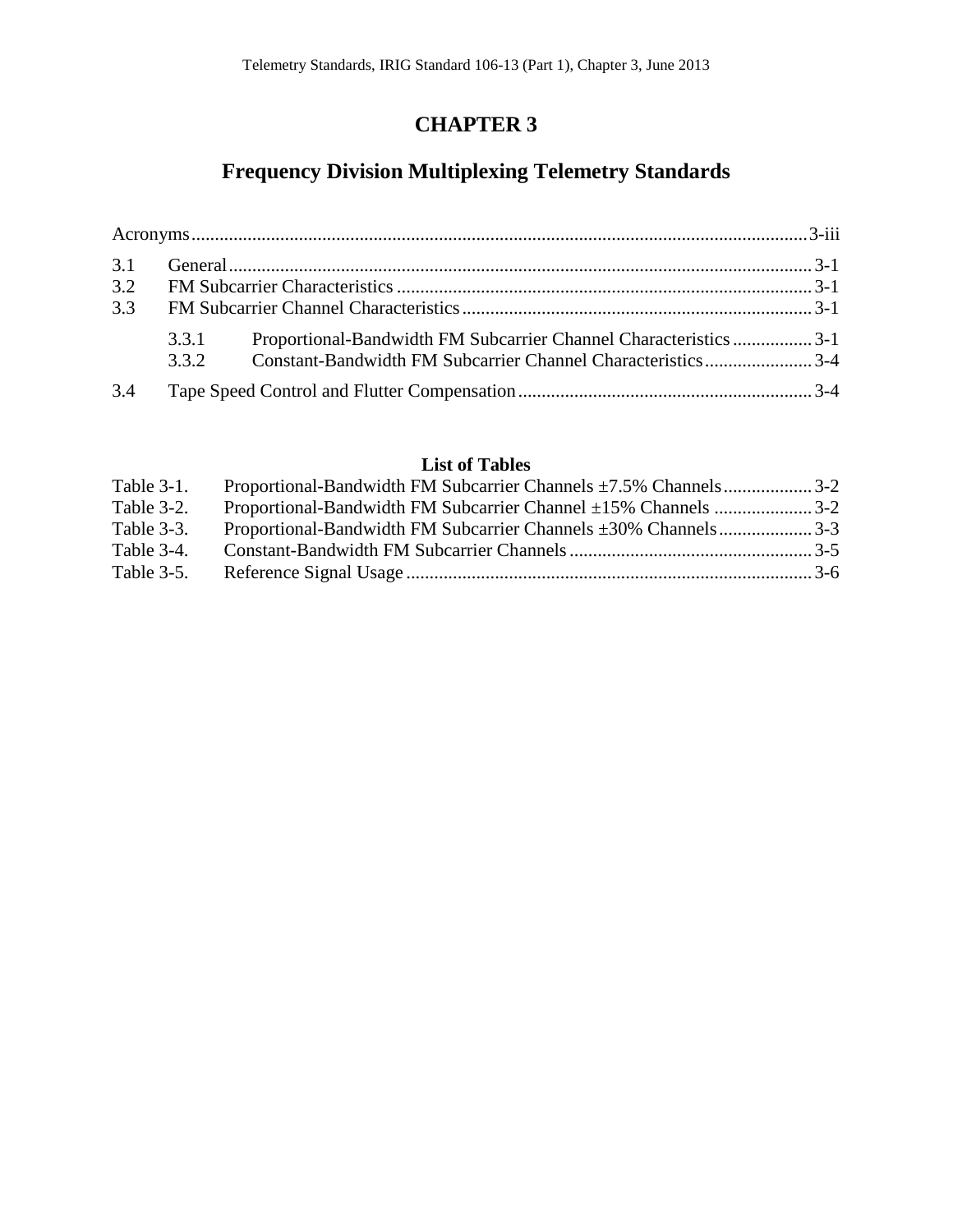# **CHAPTER 3**

# **Frequency Division Multiplexing Telemetry Standards**

| 3.1 |       |                                                                   |  |  |  |  |
|-----|-------|-------------------------------------------------------------------|--|--|--|--|
| 3.2 |       |                                                                   |  |  |  |  |
| 3.3 |       |                                                                   |  |  |  |  |
|     | 3.3.1 | Proportional-Bandwidth FM Subcarrier Channel Characteristics  3-1 |  |  |  |  |
|     | 332   | Constant-Bandwidth FM Subcarrier Channel Characteristics 3-4      |  |  |  |  |
| 3.4 |       |                                                                   |  |  |  |  |

### **List of Tables**

| Table 3-1. | Proportional-Bandwidth FM Subcarrier Channels ±7.5% Channels3-2       |  |
|------------|-----------------------------------------------------------------------|--|
| Table 3-2. | Proportional-Bandwidth FM Subcarrier Channel ±15% Channels  3-2       |  |
| Table 3-3. | Proportional-Bandwidth FM Subcarrier Channels $\pm 30\%$ Channels 3-3 |  |
| Table 3-4. |                                                                       |  |
| Table 3-5. |                                                                       |  |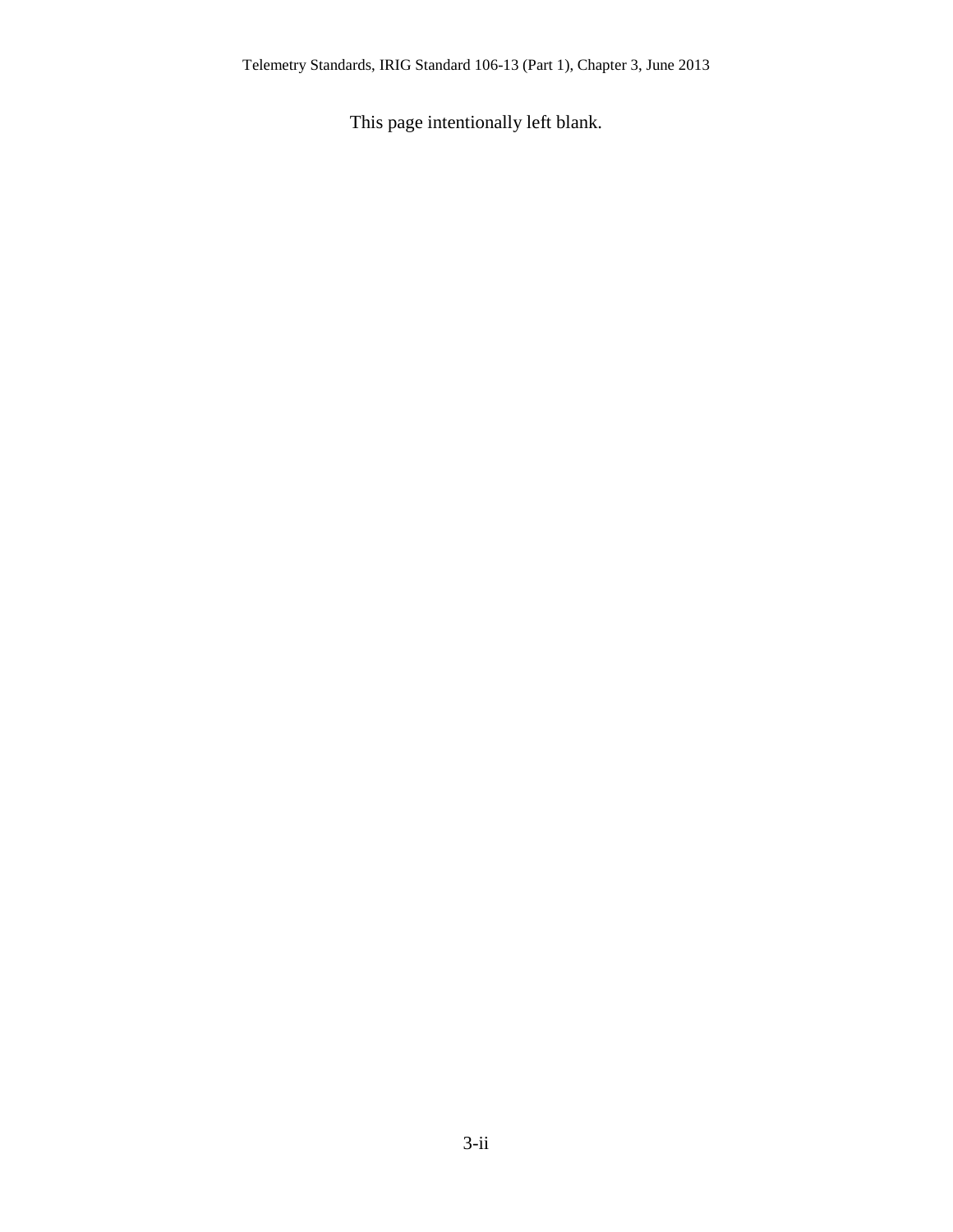This page intentionally left blank.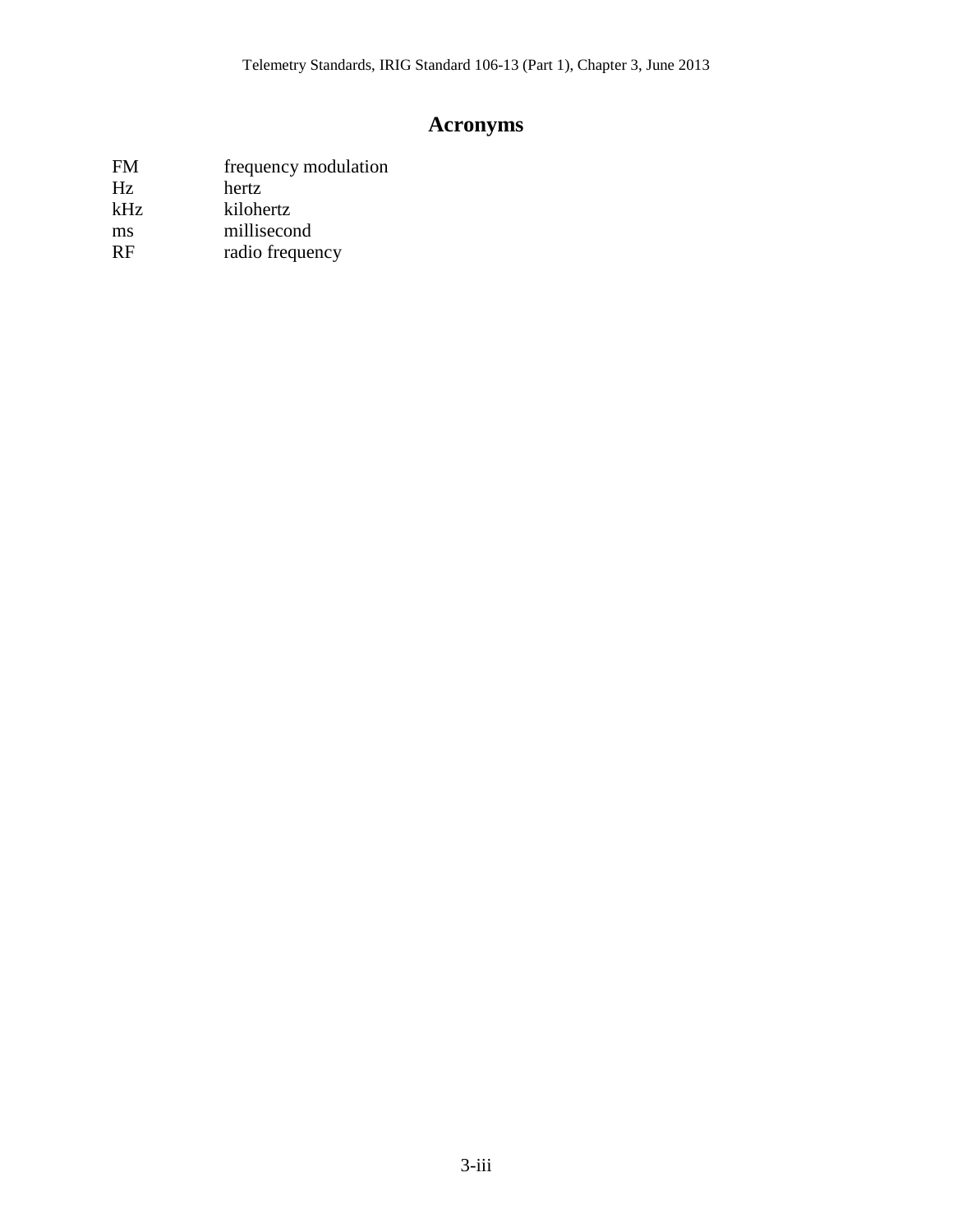# **Acronyms**

- <span id="page-2-0"></span>FM frequency modulation
- Hz hertz
- kHz kilohertz
- ms millisecond<br>RF radio frequency
- radio frequency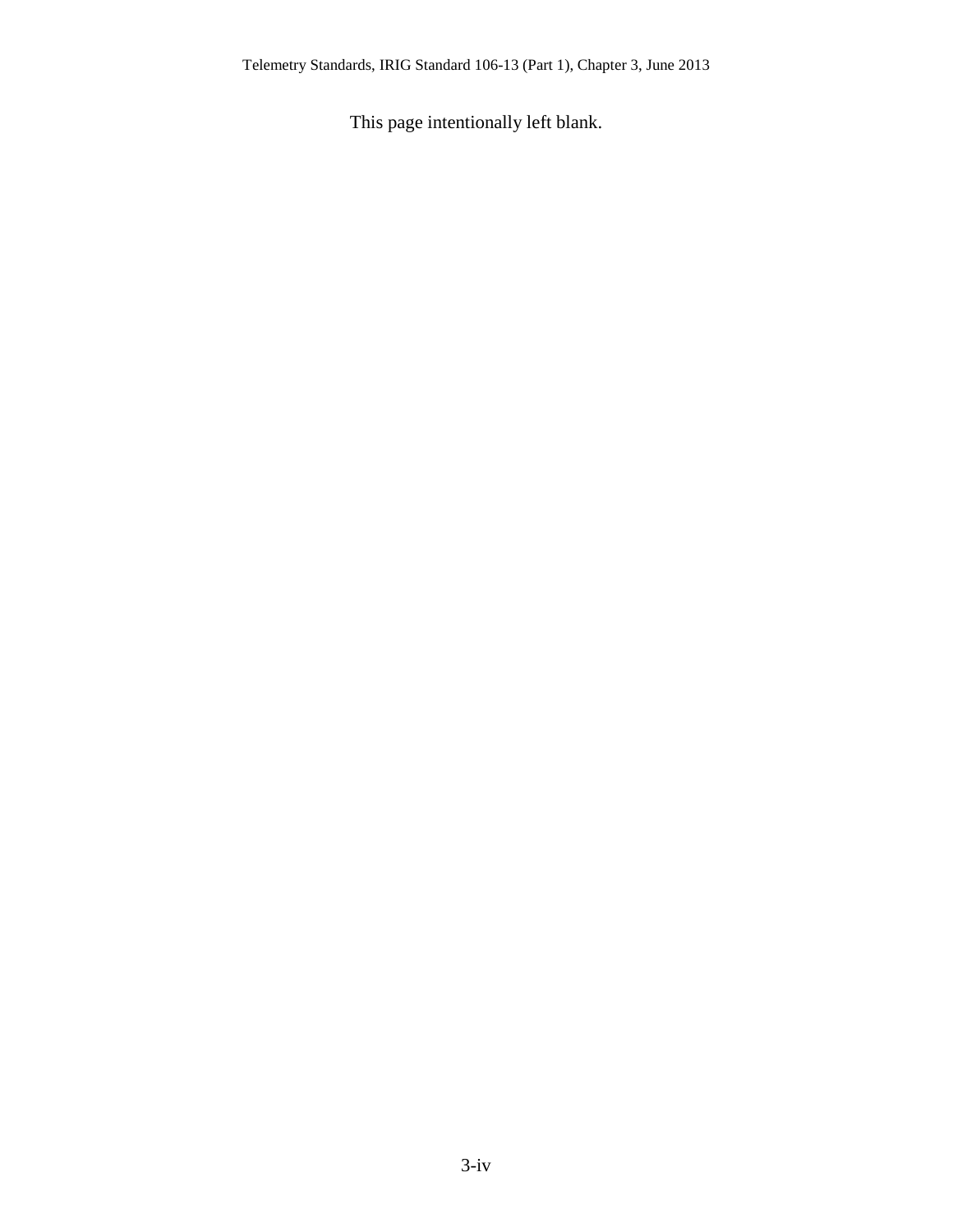This page intentionally left blank.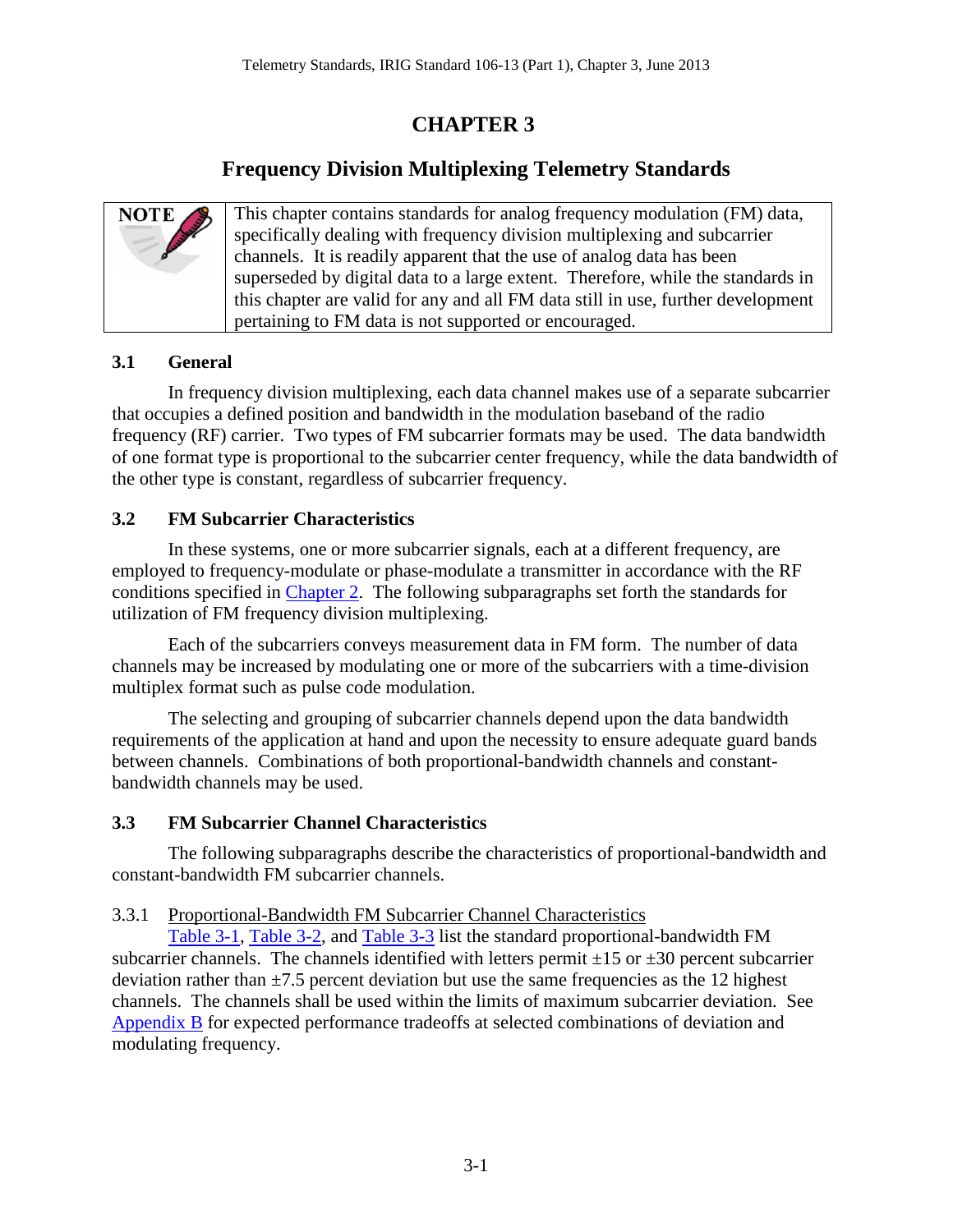## **CHAPTER 3**

# **Frequency Division Multiplexing Telemetry Standards**



### <span id="page-4-0"></span>**3.1 General**

In frequency division multiplexing, each data channel makes use of a separate subcarrier that occupies a defined position and bandwidth in the modulation baseband of the radio frequency (RF) carrier. Two types of FM subcarrier formats may be used. The data bandwidth of one format type is proportional to the subcarrier center frequency, while the data bandwidth of the other type is constant, regardless of subcarrier frequency.

#### <span id="page-4-1"></span>**3.2 FM Subcarrier Characteristics**

In these systems, one or more subcarrier signals, each at a different frequency, are employed to frequency-modulate or phase-modulate a transmitter in accordance with the RF conditions specified in [Chapter 2.](http://www.wsmr.army.mil/RCCsite/Documents/106-13_Telemetry_Standards/chapter2.pdf) The following subparagraphs set forth the standards for utilization of FM frequency division multiplexing.

Each of the subcarriers conveys measurement data in FM form. The number of data channels may be increased by modulating one or more of the subcarriers with a time-division multiplex format such as pulse code modulation.

The selecting and grouping of subcarrier channels depend upon the data bandwidth requirements of the application at hand and upon the necessity to ensure adequate guard bands between channels. Combinations of both proportional-bandwidth channels and constantbandwidth channels may be used.

#### <span id="page-4-2"></span>**3.3 FM Subcarrier Channel Characteristics**

The following subparagraphs describe the characteristics of proportional-bandwidth and constant-bandwidth FM subcarrier channels.

### <span id="page-4-3"></span>3.3.1 Proportional-Bandwidth FM Subcarrier Channel Characteristics

[Table 3-1,](#page-5-0) [Table 3-2,](#page-5-1) and [Table 3-3](#page-6-0) list the standard proportional-bandwidth FM subcarrier channels. The channels identified with letters permit  $\pm 15$  or  $\pm 30$  percent subcarrier deviation rather than  $\pm$ 7.5 percent deviation but use the same frequencies as the 12 highest channels. The channels shall be used within the limits of maximum subcarrier deviation. See [Appendix B](http://www.wsmr.army.mil/RCCsite/Documents/106-13_Telemetry_Standards/appendixB.pdf) for expected performance tradeoffs at selected combinations of deviation and modulating frequency.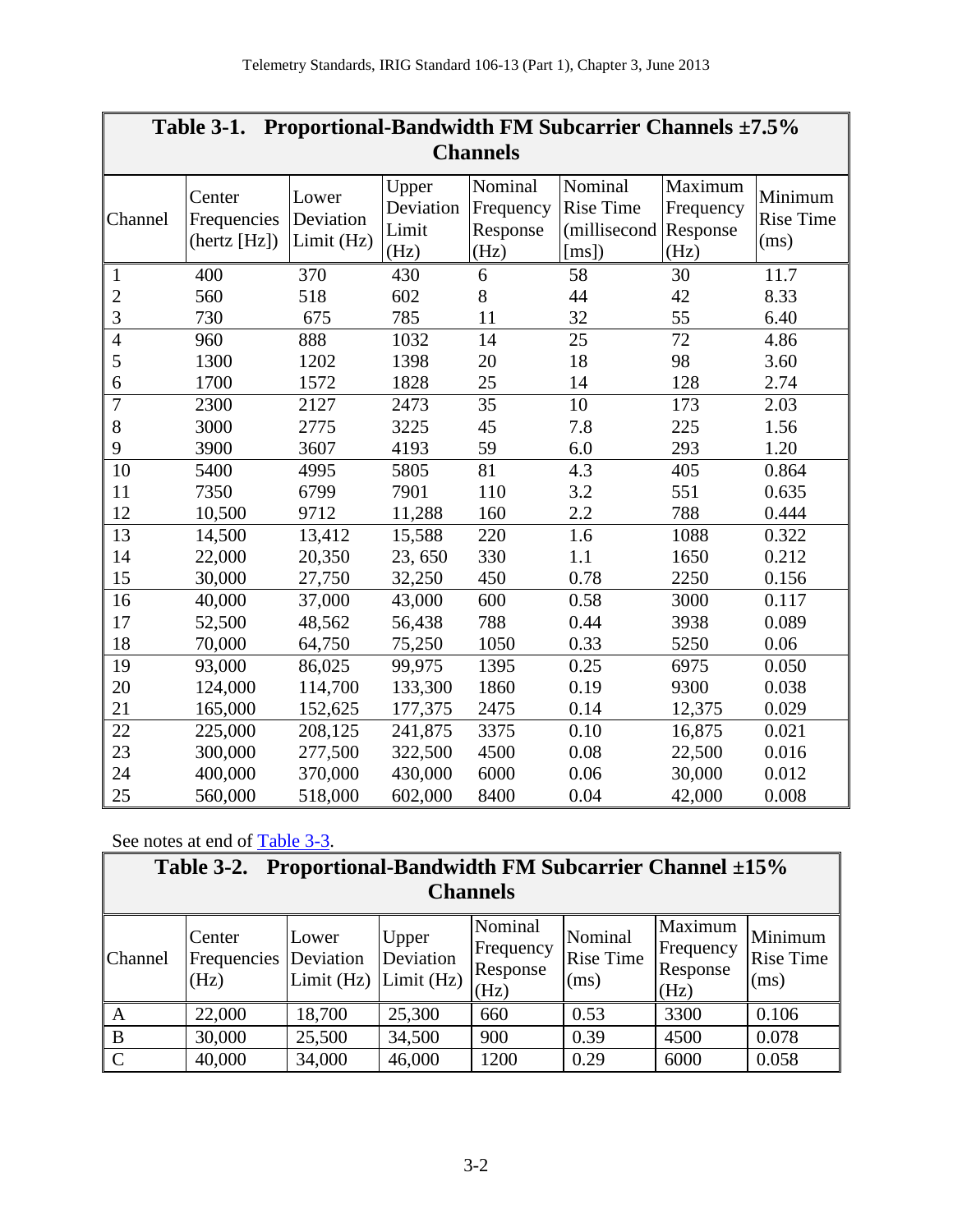<span id="page-5-0"></span>

| Table 3-1. Proportional-Bandwidth FM Subcarrier Channels $\pm 7.5\%$ |                                       |                                  |                                     |                                          |                                                     |                                          |                                     |
|----------------------------------------------------------------------|---------------------------------------|----------------------------------|-------------------------------------|------------------------------------------|-----------------------------------------------------|------------------------------------------|-------------------------------------|
| <b>Channels</b>                                                      |                                       |                                  |                                     |                                          |                                                     |                                          |                                     |
| Channel                                                              | Center<br>Frequencies<br>(hertz [Hz]) | Lower<br>Deviation<br>Limit (Hz) | Upper<br>Deviation<br>Limit<br>(Hz) | Nominal<br>Frequency<br>Response<br>(Hz) | Nominal<br><b>Rise Time</b><br>(millisecond<br>[ms] | Maximum<br>Frequency<br>Response<br>(Hz) | Minimum<br><b>Rise Time</b><br>(ms) |
| 1                                                                    | 400                                   | 370                              | 430                                 | 6                                        | 58                                                  | 30                                       | 11.7                                |
| $\overline{c}$                                                       | 560                                   | 518                              | 602                                 | 8                                        | 44                                                  | 42                                       | 8.33                                |
| 3                                                                    | 730                                   | 675                              | 785                                 | 11                                       | 32                                                  | 55                                       | 6.40                                |
| $\overline{4}$                                                       | 960                                   | 888                              | 1032                                | 14                                       | 25                                                  | 72                                       | 4.86                                |
| 5                                                                    | 1300                                  | 1202                             | 1398                                | 20                                       | 18                                                  | 98                                       | 3.60                                |
| 6                                                                    | 1700                                  | 1572                             | 1828                                | 25                                       | 14                                                  | 128                                      | 2.74                                |
| 7                                                                    | 2300                                  | 2127                             | 2473                                | 35                                       | 10                                                  | 173                                      | 2.03                                |
| 8                                                                    | 3000                                  | 2775                             | 3225                                | 45                                       | 7.8                                                 | 225                                      | 1.56                                |
| 9                                                                    | 3900                                  | 3607                             | 4193                                | 59                                       | 6.0                                                 | 293                                      | 1.20                                |
| 10                                                                   | 5400                                  | 4995                             | 5805                                | 81                                       | 4.3                                                 | 405                                      | 0.864                               |
| 11                                                                   | 7350                                  | 6799                             | 7901                                | 110                                      | 3.2                                                 | 551                                      | 0.635                               |
| 12                                                                   | 10,500                                | 9712                             | 11,288                              | 160                                      | 2.2                                                 | 788                                      | 0.444                               |
| 13                                                                   | 14,500                                | 13,412                           | 15,588                              | 220                                      | 1.6                                                 | 1088                                     | 0.322                               |
| 14                                                                   | 22,000                                | 20,350                           | 23,650                              | 330                                      | 1.1                                                 | 1650                                     | 0.212                               |
| 15                                                                   | 30,000                                | 27,750                           | 32,250                              | 450                                      | 0.78                                                | 2250                                     | 0.156                               |
| 16                                                                   | 40,000                                | 37,000                           | 43,000                              | 600                                      | 0.58                                                | 3000                                     | 0.117                               |
| 17                                                                   | 52,500                                | 48,562                           | 56,438                              | 788                                      | 0.44                                                | 3938                                     | 0.089                               |
| 18                                                                   | 70,000                                | 64,750                           | 75,250                              | 1050                                     | 0.33                                                | 5250                                     | 0.06                                |
| 19                                                                   | 93,000                                | 86,025                           | 99,975                              | 1395                                     | 0.25                                                | 6975                                     | 0.050                               |
| 20                                                                   | 124,000                               | 114,700                          | 133,300                             | 1860                                     | 0.19                                                | 9300                                     | 0.038                               |
| 21                                                                   | 165,000                               | 152,625                          | 177,375                             | 2475                                     | 0.14                                                | 12,375                                   | 0.029                               |
| 22                                                                   | 225,000                               | 208,125                          | 241,875                             | 3375                                     | 0.10                                                | 16,875                                   | 0.021                               |
| 23                                                                   | 300,000                               | 277,500                          | 322,500                             | 4500                                     | 0.08                                                | 22,500                                   | 0.016                               |
| 24                                                                   | 400,000                               | 370,000                          | 430,000                             | 6000                                     | 0.06                                                | 30,000                                   | 0.012                               |
| 25                                                                   | 560,000                               | 518,000                          | 602,000                             | 8400                                     | 0.04                                                | 42,000                                   | 0.008                               |

See notes at end of **Table 3-3**.

<span id="page-5-1"></span>

| <b>Proportional-Bandwidth FM Subcarrier Channel ±15%</b><br><b>Table 3-2.</b><br><b>Channels</b> |                               |                                                 |                    |                                          |                                     |                                          |                                     |
|--------------------------------------------------------------------------------------------------|-------------------------------|-------------------------------------------------|--------------------|------------------------------------------|-------------------------------------|------------------------------------------|-------------------------------------|
| <b>Channel</b>                                                                                   | Center<br>Frequencies<br>(Hz) | Lower<br>Deviation<br>Limit $(Hz)$ Limit $(Hz)$ | Upper<br>Deviation | Nominal<br>Frequency<br>Response<br>(Hz) | Nominal<br><b>Rise Time</b><br>(ms) | Maximum<br>Frequency<br>Response<br>(Hz) | Minimum<br><b>Rise Time</b><br>(ms) |
| A                                                                                                | 22,000                        | 18,700                                          | 25,300             | 660                                      | 0.53                                | 3300                                     | 0.106                               |
| B                                                                                                | 30,000                        | 25,500                                          | 34,500             | 900                                      | 0.39                                | 4500                                     | 0.078                               |
| $\mathbf C$                                                                                      | 40,000                        | 34,000                                          | 46,000             | 1200                                     | 0.29                                | 6000                                     | 0.058                               |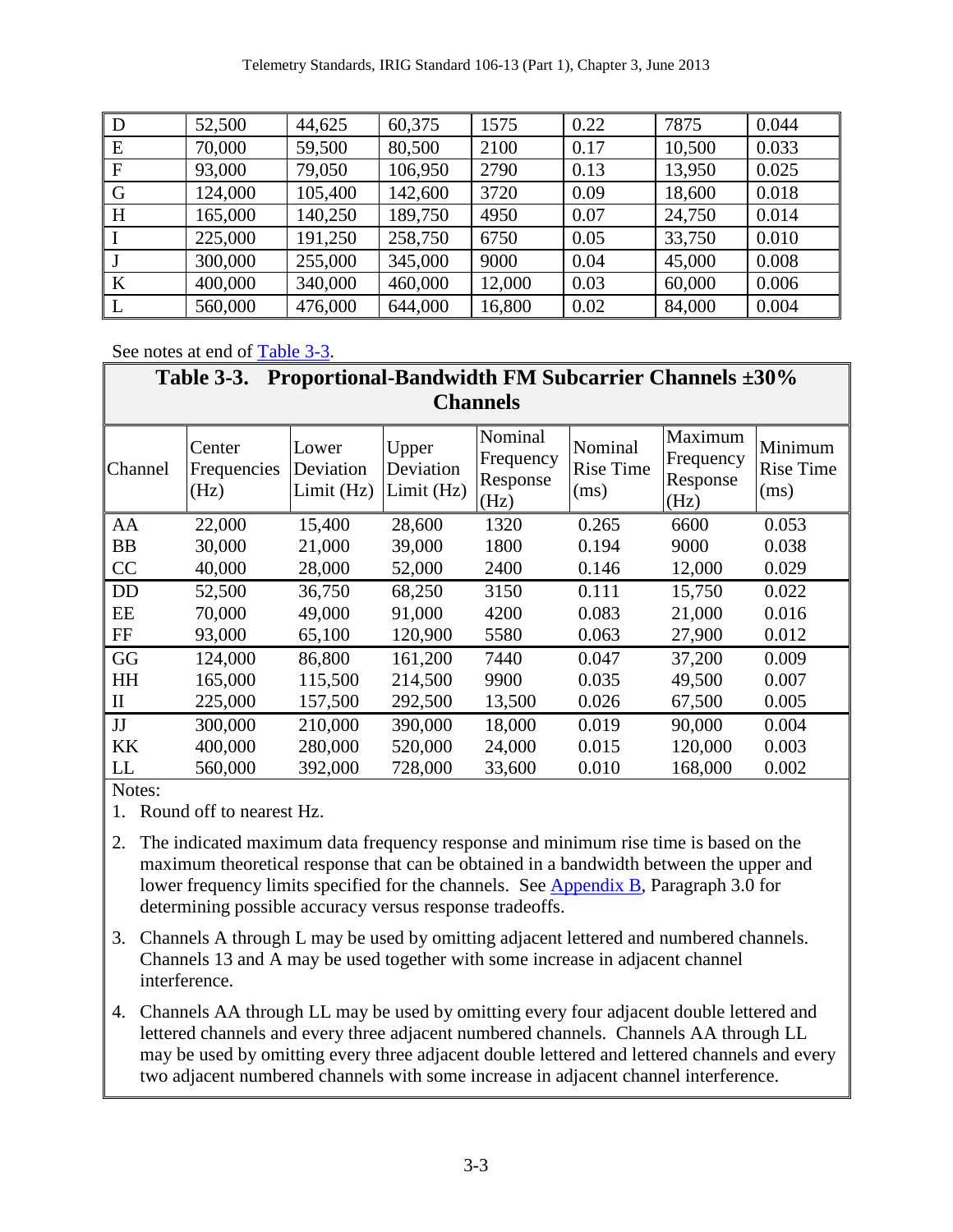| $\overline{D}$ | 52,500  | 44,625  | 60,375  | 1575   | 0.22 | 7875   | 0.044 |
|----------------|---------|---------|---------|--------|------|--------|-------|
| E              | 70,000  | 59,500  | 80,500  | 2100   | 0.17 | 10,500 | 0.033 |
| $\mathbf{F}$   | 93,000  | 79,050  | 106,950 | 2790   | 0.13 | 13,950 | 0.025 |
| G              | 124,000 | 105,400 | 142,600 | 3720   | 0.09 | 18,600 | 0.018 |
| H              | 165,000 | 140,250 | 189,750 | 4950   | 0.07 | 24,750 | 0.014 |
|                | 225,000 | 191,250 | 258,750 | 6750   | 0.05 | 33,750 | 0.010 |
|                | 300,000 | 255,000 | 345,000 | 9000   | 0.04 | 45,000 | 0.008 |
| K              | 400,000 | 340,000 | 460,000 | 12,000 | 0.03 | 60,000 | 0.006 |
| $\mathbf{L}$   | 560,000 | 476,000 | 644,000 | 16,800 | 0.02 | 84,000 | 0.004 |

See notes at end of [Table 3-3.](#page-6-0)

<span id="page-6-0"></span>

| <b>Proportional-Bandwidth FM Subcarrier Channels ±30%</b><br><b>Table 3-3.</b> |                               |                                  |                                  |                                          |                                     |                                          |                                     |
|--------------------------------------------------------------------------------|-------------------------------|----------------------------------|----------------------------------|------------------------------------------|-------------------------------------|------------------------------------------|-------------------------------------|
|                                                                                |                               |                                  |                                  | <b>Channels</b>                          |                                     |                                          |                                     |
| Channel                                                                        | Center<br>Frequencies<br>(Hz) | Lower<br>Deviation<br>Limit (Hz) | Upper<br>Deviation<br>Limit (Hz) | Nominal<br>Frequency<br>Response<br>(Hz) | Nominal<br><b>Rise Time</b><br>(ms) | Maximum<br>Frequency<br>Response<br>(Hz) | Minimum<br><b>Rise Time</b><br>(ms) |
| AA                                                                             | 22,000                        | 15,400                           | 28,600                           | 1320                                     | 0.265                               | 6600                                     | 0.053                               |
| <b>BB</b>                                                                      | 30,000                        | 21,000                           | 39,000                           | 1800                                     | 0.194                               | 9000                                     | 0.038                               |
| CC                                                                             | 40,000                        | 28,000                           | 52,000                           | 2400                                     | 0.146                               | 12,000                                   | 0.029                               |
| <b>DD</b>                                                                      | 52,500                        | 36,750                           | 68,250                           | 3150                                     | 0.111                               | 15,750                                   | 0.022                               |
| EE                                                                             | 70,000                        | 49,000                           | 91,000                           | 4200                                     | 0.083                               | 21,000                                   | 0.016                               |
| FF                                                                             | 93,000                        | 65,100                           | 120,900                          | 5580                                     | 0.063                               | 27,900                                   | 0.012                               |
| GG                                                                             | 124,000                       | 86,800                           | 161,200                          | 7440                                     | 0.047                               | 37,200                                   | 0.009                               |
| HH                                                                             | 165,000                       | 115,500                          | 214,500                          | 9900                                     | 0.035                               | 49,500                                   | 0.007                               |
| $\mathbf{I}$                                                                   | 225,000                       | 157,500                          | 292,500                          | 13,500                                   | 0.026                               | 67,500                                   | 0.005                               |
| JJ                                                                             | 300,000                       | 210,000                          | 390,000                          | 18,000                                   | 0.019                               | 90,000                                   | 0.004                               |
| KK                                                                             | 400,000                       | 280,000                          | 520,000                          | 24,000                                   | 0.015                               | 120,000                                  | 0.003                               |
| LL                                                                             | 560,000                       | 392,000                          | 728,000                          | 33,600                                   | 0.010                               | 168,000                                  | 0.002                               |

Notes:

1. Round off to nearest Hz.

- 2. The indicated maximum data frequency response and minimum rise time is based on the maximum theoretical response that can be obtained in a bandwidth between the upper and lower frequency limits specified for the channels. See [Appendix B,](http://www.wsmr.army.mil/RCCsite/Documents/106-13_Telemetry_Standards/appendixB.pdf) Paragraph 3.0 for determining possible accuracy versus response tradeoffs.
- 3. Channels A through L may be used by omitting adjacent lettered and numbered channels. Channels 13 and A may be used together with some increase in adjacent channel interference.
- 4. Channels AA through LL may be used by omitting every four adjacent double lettered and lettered channels and every three adjacent numbered channels. Channels AA through LL may be used by omitting every three adjacent double lettered and lettered channels and every two adjacent numbered channels with some increase in adjacent channel interference.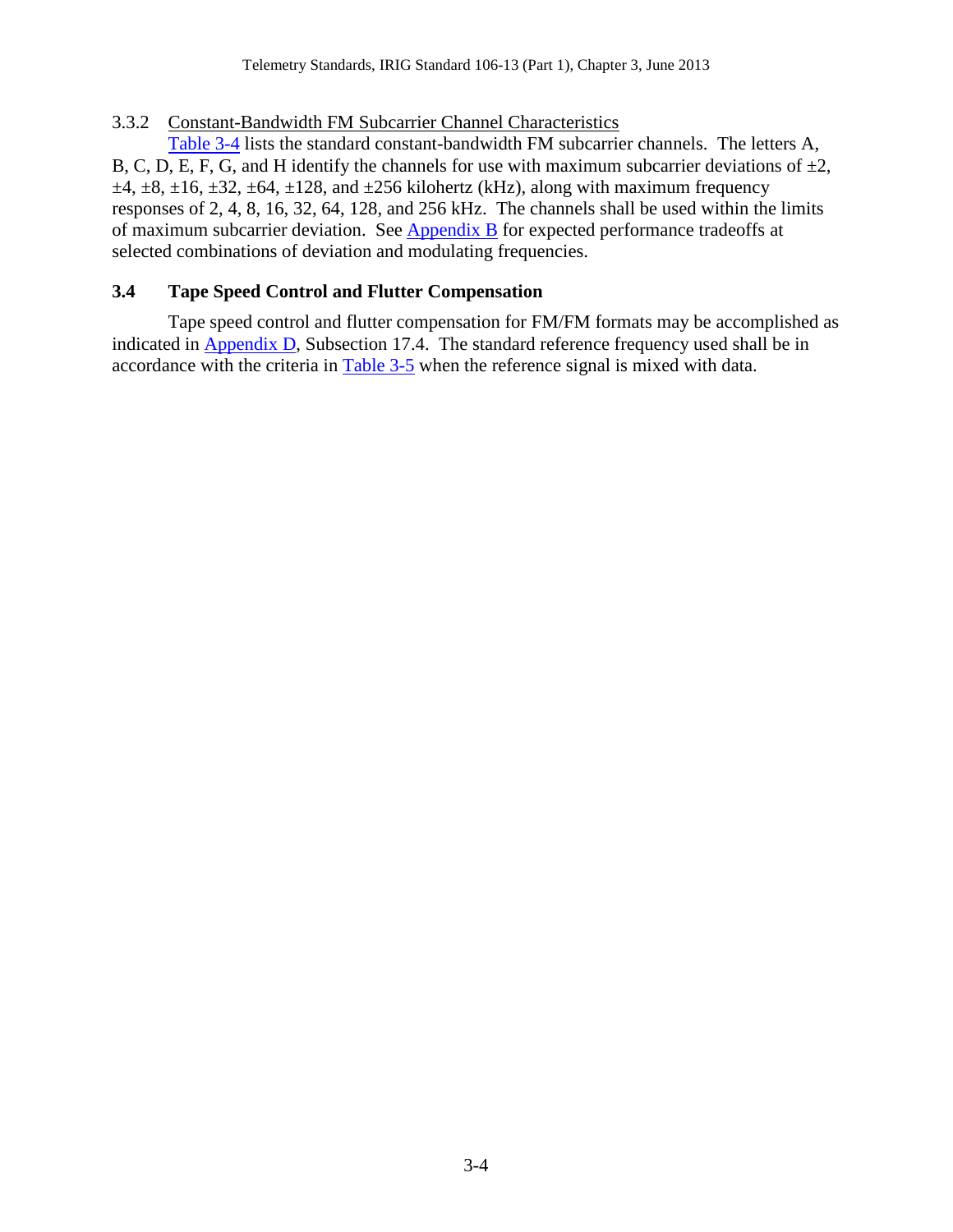#### <span id="page-7-0"></span>3.3.2 Constant-Bandwidth FM Subcarrier Channel Characteristics

[Table 3-4](#page-8-0) lists the standard constant-bandwidth FM subcarrier channels. The letters A, B, C, D, E, F, G, and H identify the channels for use with maximum subcarrier deviations of  $\pm 2$ ,  $\pm 4$ ,  $\pm 8$ ,  $\pm 16$ ,  $\pm 32$ ,  $\pm 64$ ,  $\pm 128$ , and  $\pm 256$  kilohertz (kHz), along with maximum frequency responses of 2, 4, 8, 16, 32, 64, 128, and 256 kHz. The channels shall be used within the limits of maximum subcarrier deviation. See [Appendix B](http://www.wsmr.army.mil/RCCsite/Documents/106-13_Telemetry_Standards/appendixB.pdf) for expected performance tradeoffs at selected combinations of deviation and modulating frequencies.

#### <span id="page-7-1"></span>**3.4 Tape Speed Control and Flutter Compensation**

Tape speed control and flutter compensation for FM/FM formats may be accomplished as indicated in **Appendix D**, Subsection 17.4. The standard reference frequency used shall be in accordance with the criteria in [Table 3-5](#page-9-0) when the reference signal is mixed with data.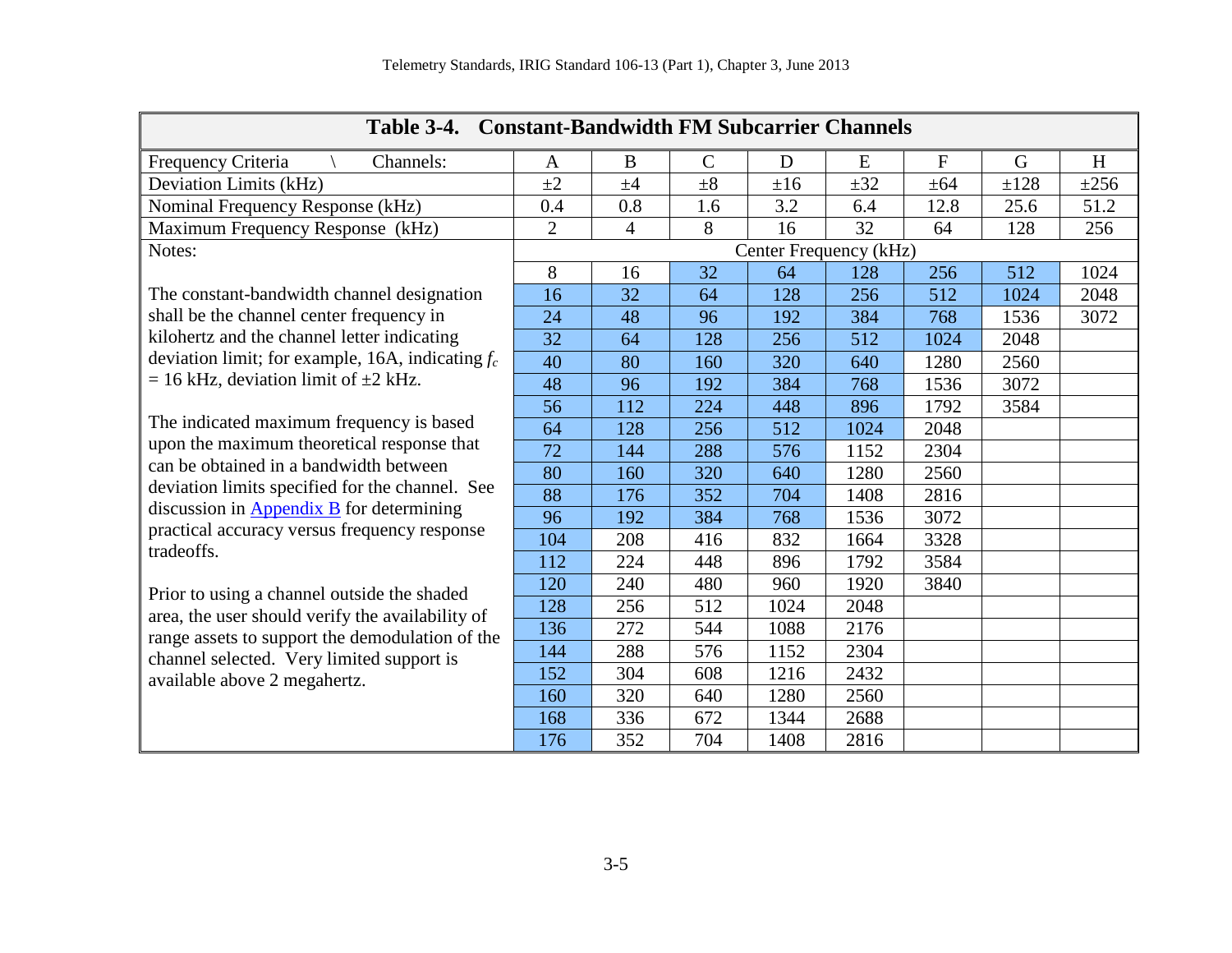<span id="page-8-0"></span>

| <b>Table 3-4.</b><br><b>Constant-Bandwidth FM Subcarrier Channels</b>                                         |                        |                |              |      |          |           |      |           |  |  |
|---------------------------------------------------------------------------------------------------------------|------------------------|----------------|--------------|------|----------|-----------|------|-----------|--|--|
| Frequency Criteria<br>Channels:                                                                               | A                      | B              | $\mathsf{C}$ | D    | E        | ${\bf F}$ | G    | H         |  |  |
| Deviation Limits (kHz)                                                                                        | $\pm 2$                | ±4             | $\pm 8$      | ±16  | $\pm 32$ | ±64       | ±128 | $\pm 256$ |  |  |
| Nominal Frequency Response (kHz)                                                                              | 0.4                    | 0.8            | 1.6          | 3.2  | 6.4      | 12.8      | 25.6 | 51.2      |  |  |
| Maximum Frequency Response (kHz)                                                                              | $\overline{2}$         | $\overline{4}$ | 8            | 16   | 32       | 64        | 128  | 256       |  |  |
| Notes:                                                                                                        | Center Frequency (kHz) |                |              |      |          |           |      |           |  |  |
|                                                                                                               | 8                      | 16             | 32           | 64   | 128      | 256       | 512  | 1024      |  |  |
| The constant-bandwidth channel designation                                                                    | 16                     | 32             | 64           | 128  | 256      | 512       | 1024 | 2048      |  |  |
| shall be the channel center frequency in                                                                      | 24                     | 48             | 96           | 192  | 384      | 768       | 1536 | 3072      |  |  |
| kilohertz and the channel letter indicating                                                                   | 32                     | 64             | 128          | 256  | 512      | 1024      | 2048 |           |  |  |
| deviation limit; for example, 16A, indicating $f_c$                                                           | 40                     | 80             | 160          | 320  | 640      | 1280      | 2560 |           |  |  |
| $= 16$ kHz, deviation limit of $\pm 2$ kHz.                                                                   | 48                     | 96             | 192          | 384  | 768      | 1536      | 3072 |           |  |  |
|                                                                                                               | 56                     | 112            | 224          | 448  | 896      | 1792      | 3584 |           |  |  |
| The indicated maximum frequency is based                                                                      | 64                     | 128            | 256          | 512  | 1024     | 2048      |      |           |  |  |
| upon the maximum theoretical response that                                                                    | 72                     | 144            | 288          | 576  | 1152     | 2304      |      |           |  |  |
| can be obtained in a bandwidth between                                                                        | 80                     | 160            | 320          | 640  | 1280     | 2560      |      |           |  |  |
| deviation limits specified for the channel. See                                                               | 88                     | 176            | 352          | 704  | 1408     | 2816      |      |           |  |  |
| discussion in $\Delta$ ppendix $\overline{B}$ for determining<br>practical accuracy versus frequency response | 96                     | 192            | 384          | 768  | 1536     | 3072      |      |           |  |  |
| tradeoffs.                                                                                                    | 104                    | 208            | 416          | 832  | 1664     | 3328      |      |           |  |  |
|                                                                                                               | 112                    | 224            | 448          | 896  | 1792     | 3584      |      |           |  |  |
| Prior to using a channel outside the shaded                                                                   | 120                    | 240            | 480          | 960  | 1920     | 3840      |      |           |  |  |
| area, the user should verify the availability of                                                              | 128                    | 256            | 512          | 1024 | 2048     |           |      |           |  |  |
| range assets to support the demodulation of the                                                               | 136                    | 272            | 544          | 1088 | 2176     |           |      |           |  |  |
| channel selected. Very limited support is                                                                     | 144                    | 288            | 576          | 1152 | 2304     |           |      |           |  |  |
| available above 2 megahertz.                                                                                  | 152                    | 304            | 608          | 1216 | 2432     |           |      |           |  |  |
|                                                                                                               | 160                    | 320            | 640          | 1280 | 2560     |           |      |           |  |  |
|                                                                                                               | 168                    | 336            | 672          | 1344 | 2688     |           |      |           |  |  |
|                                                                                                               | 176                    | 352            | 704          | 1408 | 2816     |           |      |           |  |  |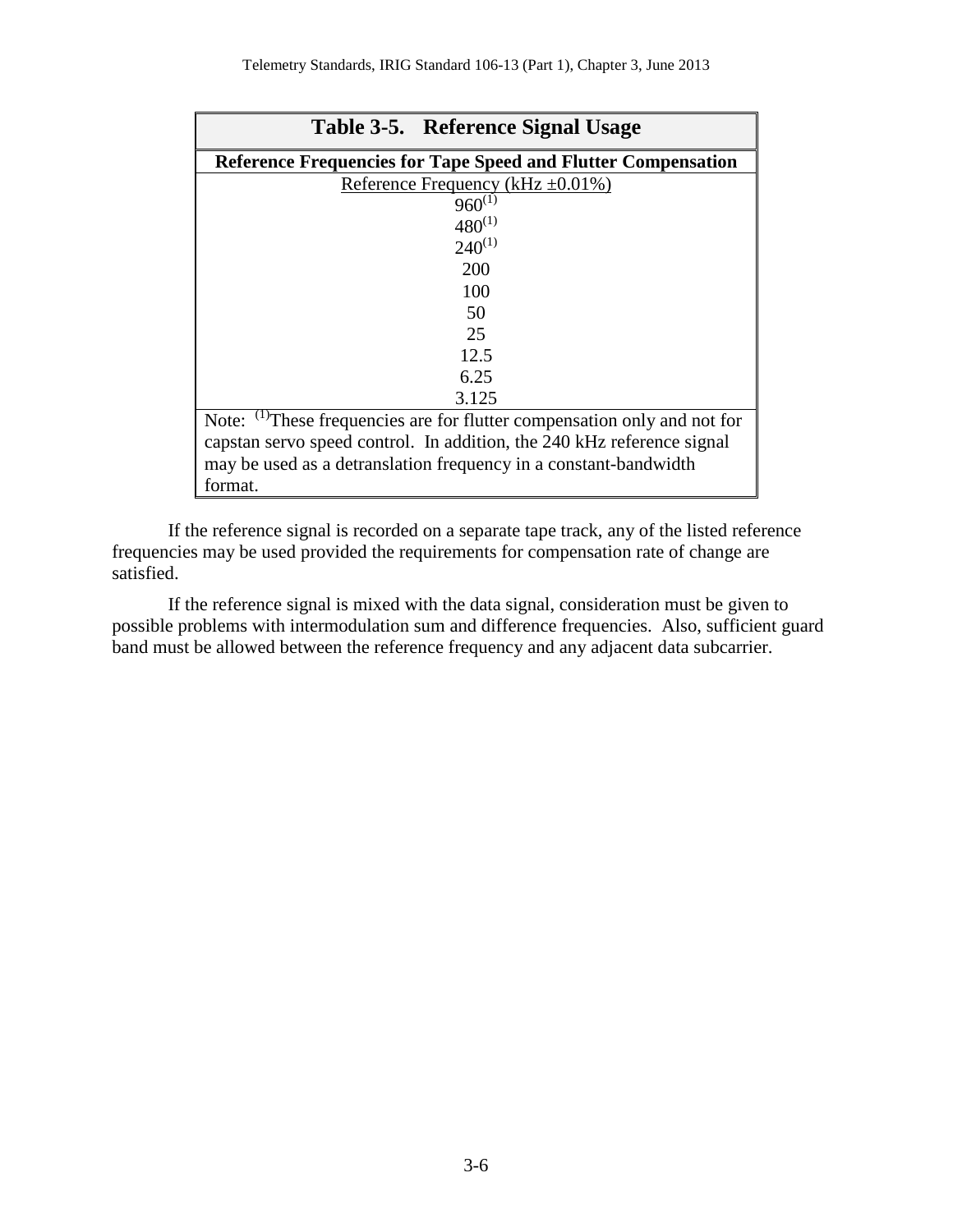<span id="page-9-0"></span>

| Table 3-5. Reference Signal Usage                                                    |
|--------------------------------------------------------------------------------------|
| <b>Reference Frequencies for Tape Speed and Flutter Compensation</b>                 |
| Reference Frequency (kHz $\pm 0.01\%$ )                                              |
| $960^{(1)}$                                                                          |
| $480^{(1)}$                                                                          |
| $240^{(1)}$                                                                          |
| 200                                                                                  |
| 100                                                                                  |
| 50                                                                                   |
| 25                                                                                   |
| 12.5                                                                                 |
| 6.25                                                                                 |
| 3.125                                                                                |
| Note: <sup>(1)</sup> These frequencies are for flutter compensation only and not for |
| capstan servo speed control. In addition, the 240 kHz reference signal               |
| may be used as a detranslation frequency in a constant-bandwidth                     |
| format.                                                                              |

If the reference signal is recorded on a separate tape track, any of the listed reference frequencies may be used provided the requirements for compensation rate of change are satisfied.

If the reference signal is mixed with the data signal, consideration must be given to possible problems with intermodulation sum and difference frequencies. Also, sufficient guard band must be allowed between the reference frequency and any adjacent data subcarrier.